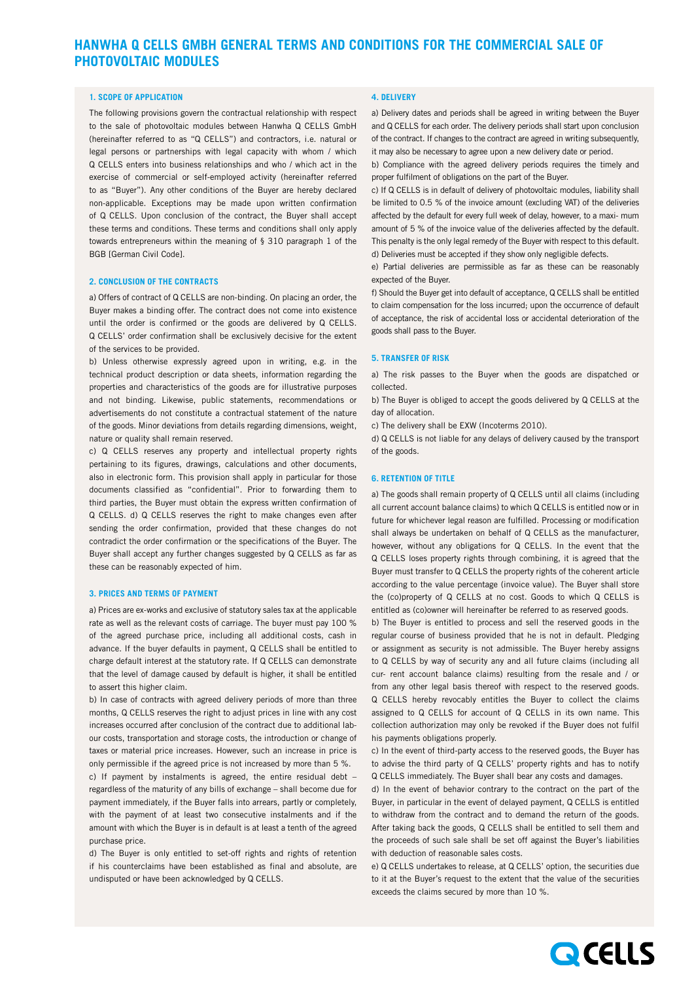# **HANWHA Q CELLS GMBH GENERAL TERMS AND CONDITIONS FOR THE COMMERCIAL SALE OF PHOTOVOLTAIC MODULES**

#### **1. SCOPE OF APPLICATION**

The following provisions govern the contractual relationship with respect to the sale of photovoltaic modules between Hanwha Q CELLS GmbH (hereinafter referred to as "Q CELLS") and contractors, i.e. natural or legal persons or partnerships with legal capacity with whom / which Q CELLS enters into business relationships and who / which act in the exercise of commercial or self-employed activity (hereinafter referred to as "Buyer"). Any other conditions of the Buyer are hereby declared non-applicable. Exceptions may be made upon written confirmation of Q CELLS. Upon conclusion of the contract, the Buyer shall accept these terms and conditions. These terms and conditions shall only apply towards entrepreneurs within the meaning of § 310 paragraph 1 of the BGB [German Civil Code].

### **2. CONCLUSION OF THE CONTRACTS**

a) Offers of contract of Q CELLS are non-binding. On placing an order, the Buyer makes a binding offer. The contract does not come into existence until the order is confirmed or the goods are delivered by Q CELLS. Q CELLS' order confirmation shall be exclusively decisive for the extent of the services to be provided.

b) Unless otherwise expressly agreed upon in writing, e.g. in the technical product description or data sheets, information regarding the properties and characteristics of the goods are for illustrative purposes and not binding. Likewise, public statements, recommendations or advertisements do not constitute a contractual statement of the nature of the goods. Minor deviations from details regarding dimensions, weight, nature or quality shall remain reserved.

c) Q CELLS reserves any property and intellectual property rights pertaining to its figures, drawings, calculations and other documents, also in electronic form. This provision shall apply in particular for those documents classified as "confidential". Prior to forwarding them to third parties, the Buyer must obtain the express written confirmation of Q CELLS. d) Q CELLS reserves the right to make changes even after sending the order confirmation, provided that these changes do not contradict the order confirmation or the specifications of the Buyer. The Buyer shall accept any further changes suggested by Q CELLS as far as these can be reasonably expected of him.

#### **3. PRICES AND TERMS OF PAYMENT**

a) Prices are ex-works and exclusive of statutory sales tax at the applicable rate as well as the relevant costs of carriage. The buyer must pay 100 % of the agreed purchase price, including all additional costs, cash in advance. If the buyer defaults in payment, Q CELLS shall be entitled to charge default interest at the statutory rate. If Q CELLS can demonstrate that the level of damage caused by default is higher, it shall be entitled to assert this higher claim.

b) In case of contracts with agreed delivery periods of more than three months, Q CELLS reserves the right to adjust prices in line with any cost increases occurred after conclusion of the contract due to additional labour costs, transportation and storage costs, the introduction or change of taxes or material price increases. However, such an increase in price is only permissible if the agreed price is not increased by more than 5 %.

c) If payment by instalments is agreed, the entire residual debt – regardless of the maturity of any bills of exchange – shall become due for payment immediately, if the Buyer falls into arrears, partly or completely, with the payment of at least two consecutive instalments and if the amount with which the Buyer is in default is at least a tenth of the agreed purchase price.

d) The Buyer is only entitled to set-off rights and rights of retention if his counterclaims have been established as final and absolute, are undisputed or have been acknowledged by Q CELLS.

## **4. DELIVERY**

a) Delivery dates and periods shall be agreed in writing between the Buyer and Q CELLS for each order. The delivery periods shall start upon conclusion of the contract. If changes to the contract are agreed in writing subsequently, it may also be necessary to agree upon a new delivery date or period.

b) Compliance with the agreed delivery periods requires the timely and proper fulfilment of obligations on the part of the Buyer.

c) If Q CELLS is in default of delivery of photovoltaic modules, liability shall be limited to 0.5 % of the invoice amount (excluding VAT) of the deliveries affected by the default for every full week of delay, however, to a maxi- mum amount of 5 % of the invoice value of the deliveries affected by the default. This penalty is the only legal remedy of the Buyer with respect to this default. d) Deliveries must be accepted if they show only negligible defects.

e) Partial deliveries are permissible as far as these can be reasonably expected of the Buyer.

f) Should the Buyer get into default of acceptance, Q CELLS shall be entitled to claim compensation for the loss incurred; upon the occurrence of default of acceptance, the risk of accidental loss or accidental deterioration of the goods shall pass to the Buyer.

#### **5. Transfer OF RISK**

a) The risk passes to the Buyer when the goods are dispatched or collected.

b) The Buyer is obliged to accept the goods delivered by Q CELLS at the day of allocation.

c) The delivery shall be EXW (Incoterms 2010).

d) Q CELLS is not liable for any delays of delivery caused by the transport of the goods.

### **6. RETENTION OF TITLE**

a) The goods shall remain property of Q CELLS until all claims (including all current account balance claims) to which Q CELLS is entitled now or in future for whichever legal reason are fulfilled. Processing or modification shall always be undertaken on behalf of Q CELLS as the manufacturer, however, without any obligations for Q CELLS. In the event that the Q CELLS loses property rights through combining, it is agreed that the Buyer must transfer to Q CELLS the property rights of the coherent article according to the value percentage (invoice value). The Buyer shall store the (co)property of Q CELLS at no cost. Goods to which Q CELLS is entitled as (co)owner will hereinafter be referred to as reserved goods.

b) The Buyer is entitled to process and sell the reserved goods in the regular course of business provided that he is not in default. Pledging or assignment as security is not admissible. The Buyer hereby assigns to Q CELLS by way of security any and all future claims (including all cur- rent account balance claims) resulting from the resale and / or from any other legal basis thereof with respect to the reserved goods. Q CELLS hereby revocably entitles the Buyer to collect the claims assigned to Q CELLS for account of Q CELLS in its own name. This collection authorization may only be revoked if the Buyer does not fulfil his payments obligations properly.

c) In the event of third-party access to the reserved goods, the Buyer has to advise the third party of Q CELLS' property rights and has to notify Q CELLS immediately. The Buyer shall bear any costs and damages.

d) In the event of behavior contrary to the contract on the part of the Buyer, in particular in the event of delayed payment, Q CELLS is entitled to withdraw from the contract and to demand the return of the goods. After taking back the goods, Q CELLS shall be entitled to sell them and the proceeds of such sale shall be set off against the Buyer's liabilities with deduction of reasonable sales costs.

e) Q CELLS undertakes to release, at Q CELLS' option, the securities due to it at the Buyer's request to the extent that the value of the securities exceeds the claims secured by more than 10 %.